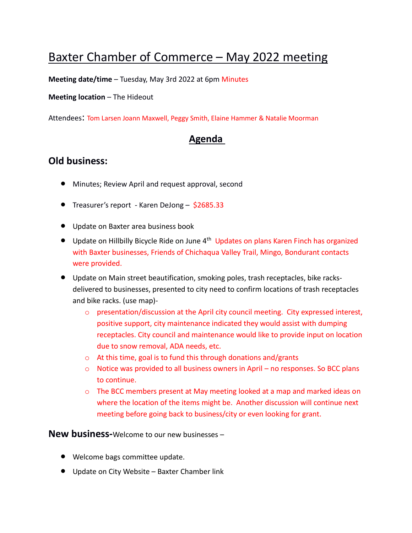## Baxter Chamber of Commerce – May 2022 meeting

**Meeting date/time** – Tuesday, May 3rd 2022 at 6pm Minutes

## **Meeting location** – The Hideout

Attendees: Tom Larsen Joann Maxwell, Peggy Smith, Elaine Hammer & Natalie Moorman

## **Agenda**

## **Old business:**

- Minutes; Review April and request approval, second
- Treasurer's report Karen DeJong \$2685.33
- Update on Baxter area business book
- Update on Hillbilly Bicycle Ride on June 4<sup>th</sup> Updates on plans Karen Finch has organized with Baxter businesses, Friends of Chichaqua Valley Trail, Mingo, Bondurant contacts were provided.
- Update on Main street beautification, smoking poles, trash receptacles, bike racksdelivered to businesses, presented to city need to confirm locations of trash receptacles and bike racks. (use map)-
	- $\circ$  presentation/discussion at the April city council meeting. City expressed interest, positive support, city maintenance indicated they would assist with dumping receptacles. City council and maintenance would like to provide input on location due to snow removal, ADA needs, etc.
	- o At this time, goal is to fund this through donations and/grants
	- $\circ$  Notice was provided to all business owners in April no responses. So BCC plans to continue.
	- o The BCC members present at May meeting looked at a map and marked ideas on where the location of the items might be. Another discussion will continue next meeting before going back to business/city or even looking for grant.

**New business-**Welcome to our new businesses –

- Welcome bags committee update.
- Update on City Website Baxter Chamber link